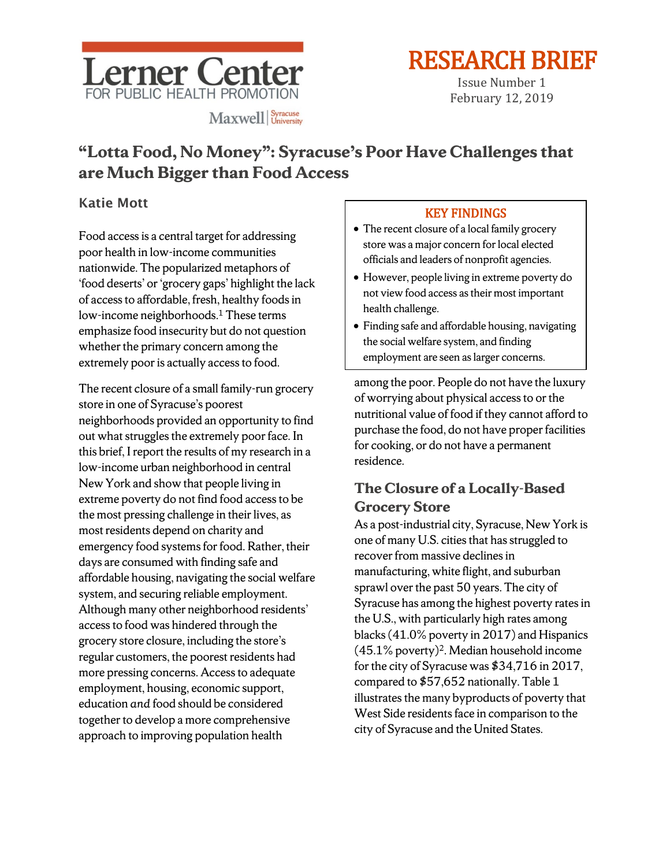

RESEARCH BRIEF<br>
Issue Number 1<br>
February 12, 2019

# **"Lotta Food, No Money": Syracuse's Poor Have Challenges that are Much Bigger than Food Access**

## Katie Mott

Food access is a central target for addressing poor health in low-income communities nationwide. The popularized metaphors of 'food deserts' or 'grocery gaps' highlight the lack of access to affordable, fresh, healthy foods in low-income neighborhoods.<sup>1</sup> These terms emphasize food insecurity but do not question whether the primary concern among the extremely poor is actually access to food.

The recent closure of a small family-run grocery store in one of Syracuse's poorest neighborhoods provided an opportunity to find out what struggles the extremely poor face. In this brief, I report the results of my research in a low-income urban neighborhood in central New York and show that people living in extreme poverty do not find food access to be the most pressing challenge in their lives, as most residents depend on charity and emergency food systems for food. Rather, their days are consumed with finding safe and affordable housing, navigating the social welfare system, and securing reliable employment. Although many other neighborhood residents' access to food was hindered through the grocery store closure, including the store's regular customers, the poorest residents had more pressing concerns. Access to adequate employment, housing, economic support, education *and* food should be considered together to develop a more comprehensive approach to improving population health

### KEY FINDINGS

- The recent closure of a local family grocery store was a major concern for local elected officials and leaders of nonprofit agencies.
- However, people living in extreme poverty do not view food access as their most important health challenge.
- Finding safe and affordable housing, navigating the social welfare system, and finding employment are seen as larger concerns.

among the poor. People do not have the luxury of worrying about physical access to or the nutritional value of food if they cannot afford to purchase the food, do not have proper facilities for cooking, or do not have a permanent residence.

# **The Closure of a Locally-Based Grocery Store**

As a post-industrial city, Syracuse, New York is one of many U.S. cities that has struggled to recover from massive declines in manufacturing, white flight, and suburban sprawl over the past 50 years. The city of Syracuse has among the highest poverty rates in the U.S., with particularly high rates among blacks (41.0% poverty in 2017) and Hispanics  $(45.1\%$  poverty)<sup>2</sup>. Median household income for the city of Syracuse was \$34,716 in 2017, compared to \$57,652 nationally. Table 1 illustrates the many byproducts of poverty that West Side residents face in comparison to the city of Syracuse and the United States.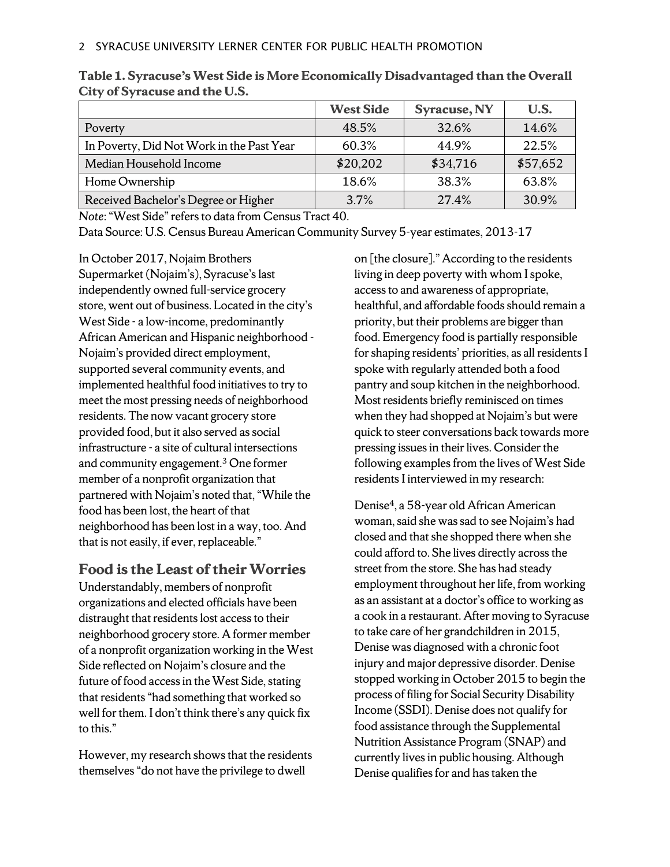|                                           | <b>West Side</b> | Syracuse, NY | U.S.     |
|-------------------------------------------|------------------|--------------|----------|
| Poverty                                   | 48.5%            | 32.6%        | 14.6%    |
| In Poverty, Did Not Work in the Past Year | 60.3%            | 44.9%        | 22.5%    |
| Median Household Income                   | \$20,202         | \$34,716     | \$57,652 |
| Home Ownership                            | 18.6%            | 38.3%        | 63.8%    |
| Received Bachelor's Degree or Higher      | 3.7%             | 27.4%        | 30.9%    |

**Table 1. Syracuse's West Side is More Economically Disadvantaged than the Overall City of Syracuse and the U.S.**

*Note*: "West Side" refers to data from Census Tract 40.

Data Source: U.S. Census Bureau American Community Survey 5-year estimates, 2013-17

In October 2017, Nojaim Brothers Supermarket (Nojaim's), Syracuse's last independently owned full-service grocery store, went out of business. Located in the city's West Side - a low-income, predominantly African American and Hispanic neighborhood - Nojaim's provided direct employment, supported several community events, and implemented healthful food initiatives to try to meet the most pressing needs of neighborhood residents. The now vacant grocery store provided food, but it also served as social infrastructure - a site of cultural intersections and community engagement.3 One former member of a nonprofit organization that partnered with Nojaim's noted that, "While the food has been lost, the heart of that neighborhood has been lost in a way, too. And that is not easily, if ever, replaceable."

#### **Food is the Least of their Worries**

Understandably, members of nonprofit organizations and elected officials have been distraught that residents lost access to their neighborhood grocery store. A former member of a nonprofit organization working in the West Side reflected on Nojaim's closure and the future of food access in the West Side, stating that residents "had something that worked so well for them. I don't think there's any quick fix to this."

However, my research shows that the residents themselves "do not have the privilege to dwell

on [the closure]." According to the residents living in deep poverty with whom I spoke, access to and awareness of appropriate, healthful, and affordable foods should remain a priority, but their problems are bigger than food. Emergency food is partially responsible for shaping residents' priorities, as all residents I spoke with regularly attended both a food pantry and soup kitchen in the neighborhood. Most residents briefly reminisced on times when they had shopped at Nojaim's but were quick to steer conversations back towards more pressing issues in their lives. Consider the following examples from the lives of West Side residents I interviewed in my research:

Denise4, a 58-year old African American woman, said she was sad to see Nojaim's had closed and that she shopped there when she could afford to. She lives directly across the street from the store. She has had steady employment throughout her life, from working as an assistant at a doctor's office to working as a cook in a restaurant. After moving to Syracuse to take care of her grandchildren in 2015, Denise was diagnosed with a chronic foot injury and major depressive disorder. Denise stopped working in October 2015 to begin the process of filing for Social Security Disability Income (SSDI). Denise does not qualify for food assistance through the Supplemental Nutrition Assistance Program (SNAP) and currently lives in public housing. Although Denise qualifies for and has taken the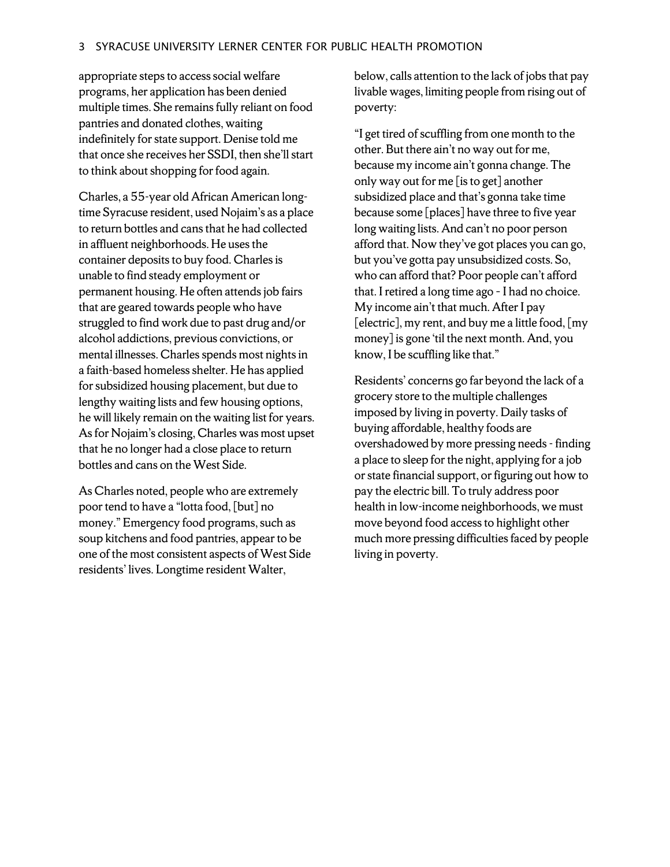appropriate steps to access social welfare programs, her application has been denied multiple times. She remains fully reliant on food pantries and donated clothes, waiting indefinitely for state support. Denise told me that once she receives her SSDI, then she'll start to think about shopping for food again.

Charles, a 55-year old African American longtime Syracuse resident, used Nojaim's as a place to return bottles and cans that he had collected in affluent neighborhoods. He uses the container deposits to buy food. Charles is unable to find steady employment or permanent housing. He often attends job fairs that are geared towards people who have struggled to find work due to past drug and/or alcohol addictions, previous convictions, or mental illnesses. Charles spends most nights in a faith-based homeless shelter. He has applied for subsidized housing placement, but due to lengthy waiting lists and few housing options, he will likely remain on the waiting list for years. As for Nojaim's closing, Charles was most upset that he no longer had a close place to return bottles and cans on the West Side.

As Charles noted, people who are extremely poor tend to have a "lotta food, [but] no money." Emergency food programs, such as soup kitchens and food pantries, appear to be one of the most consistent aspects of West Side residents' lives. Longtime resident Walter,

below, calls attention to the lack of jobs that pay livable wages, limiting people from rising out of poverty:

"I get tired of scuffling from one month to the other. But there ain't no way out for me, because my income ain't gonna change. The only way out for me [is to get] another subsidized place and that's gonna take time because some [places] have three to five year long waiting lists. And can't no poor person afford that. Now they've got places you can go, but you've gotta pay unsubsidized costs. So, who can afford that? Poor people can't afford that. I retired a long time ago - I had no choice. My income ain't that much. After I pay [electric], my rent, and buy me a little food, [my money] is gone 'til the next month. And, you know, I be scuffling like that."

Residents' concerns go far beyond the lack of a grocery store to the multiple challenges imposed by living in poverty. Daily tasks of buying affordable, healthy foods are overshadowed by more pressing needs - finding a place to sleep for the night, applying for a job or state financial support, or figuring out how to pay the electric bill. To truly address poor health in low-income neighborhoods, we must move beyond food access to highlight other much more pressing difficulties faced by people living in poverty.